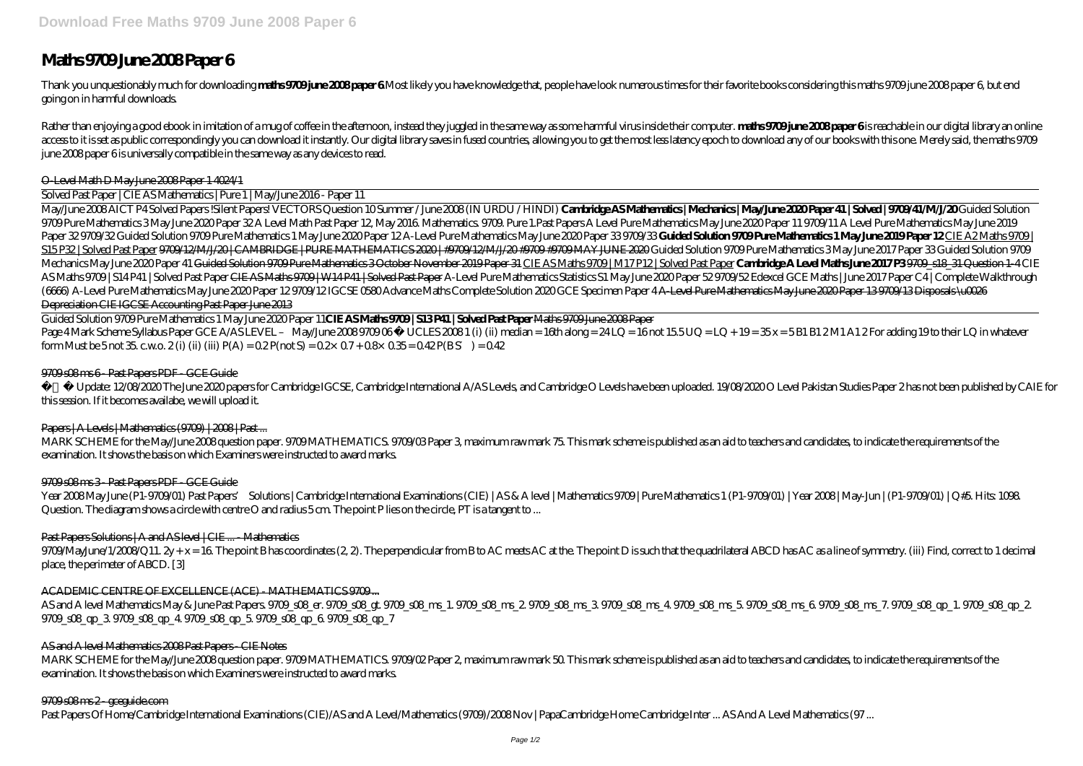# **Maths 9709 June 2008 Paper 6**

Thank you unquestionably much for downloading maths 9709 june 2008 paper 6Most likely you have knowledge that, people have look numerous times for their favorite books considering this maths 9709 june 2008 paper 6, but end going on in harmful downloads.

Rather than enjoying a good ebook in imitation of a mug of coffee in the afternoon, instead they juggled in the same way as some harmful virus inside their computer. **maths 9709 june 2008 paper 6** is reachable in our digit access to it is set as public correspondingly you can download it instantly. Our digital library saves in fused countries, allowing you to get the most less latency epoch to download any of our books with this one. Merely june 2008 paper 6 is universally compatible in the same way as any devices to read.

### O-Level Math D May June 2008 Paper 1 4024/1

Solved Past Paper | CIE AS Mathematics | Pure 1 | May/June 2016 - Paper 11

Guided Solution 9709 Pure Mathematics 1 May June 2020 Paper 11**CIE AS Maths 9709 | S13 P41 | Solved Past Paper** Maths 9709 June 2008 Paper Page 4 Mark Scheme Syllabus Paper GCE A/AS LEVEL – May/June 2008 9709 06 © UCLES 2008 1 (i) (ii) median = 16th along = 24 LQ = 16 not 15.5 UQ = LQ + 19 = 35 x = 5 B1 B1 2 M1 A1 2 For adding 19 to their LQ in whatever form Must be 5 not 35 c.w.o. 2 (i) (iii) (iii)  $P(A) = 0.2 P(\text{not } S) = 0.2 \times 0.7 + 0.8 \times 0.35 = 0.42 P(B S) = 0.42$ 

## 9700 s08 ms 6 - Past Papers PDF - GCE Guide

May/June 2008 AICT P4 Solved Papers !Silent Papers! VECTORS Question 10 Summer / June 2008 (IN URDU / HINDI) **Cambridge AS Mathematics | Mechanics | May/June 2020 Paper 41 | Solved | 9709/41/M/J/20** Guided Solution 9709 Pure Mathematics 3 May June 2020 Paper 32 A Level Math Past Paper 12, May 2016. Mathematics. 9709. Pure 1.Past Papers A Level Pure Mathematics May June 2020 Paper 11 9709/11 *A Level Pure Mathematics May June 2019* Paper 329709/32Guided Solution 9709Pure Mathematics 1 May June 2020 Paper 12A-Level Pure Mathematics May June 2020 Paper 339709/33 Guided Solution 9709 Pure Mathematics 1 May June 2019 Paper 12CIE A 2 Maths 9709 | S15 P32 | Solved Past Paper 9709/12/M/J/20 | CAMBRIDGE | PURE MATHEMATICS 2020 | #9709/12/M/J/20 #9709 #9709 MHE 2020 Guided Solution 9709 Pure Mathematics 3 May June 2017 Paper 33 *Guided Solution 9709* Mechanics May June 2020 Paper 41 Guided Solution 9700 Pure Mathematics 3 October November 2019 Paper 31 CIE AS Maths 9709 | M17 P12 | Solved Past Paper Cambridge A Level Maths June 2017 P39700 518 31 Question 1-4 CIE AS Maths 9709 | S14P41 | Solved Past Paper <del>CIE AS Maths 9709 | W14P41 | Solved Past Paper</del> A-Level Pure Mathematics Statistics S1 May June 2020 Paper 52 9709/52 Edexcel GCE Maths | June 2017 Paper C4 | Complete Walkthroug *(6666)* A-Level Pure Mathematics May June 2020 Paper 12 9709/12 *IGCSE 0580 Advance Maths Complete Solution 2020 GCE Specimen Paper 4* A-Level Pure Mathematics May June 2020 Paper 13 9709/13 Disposals \u0026 Depreciation CIE IGCSE Accounting Past Paper June 2013

MARK SCHEME for the May/June 2008 question paper. 9709 MATHEMATICS. 9709/03 Paper 3, maximum raw mark 75. This mark scheme is published as an aid to teachers and candidates, to indicate the requirements of the examination. It shows the basis on which Examiners were instructed to award marks.

## 9700 s08 ms 3 - Past Papers PDF - GCE Guide

9709MayJune/1/2008/Q11,  $2y + x = 16$  The point B has coordinates (2, 2). The perpendicular from B to AC meets AC at the, The point D is such that the quadrilateral ABCD has AC as a line of symmetry. (iii) Find, correct to 1 place, the perimeter of ABCD. [3]

## ACADEMIC CENTRE OF EXCELLENCE (ACE) - MATHEMATICS 9700...

AS and A level Mathematics May & June Past Papers. 9709\_s08\_er. 9709\_s08\_ms\_1. 9709\_s08\_ms\_2. 9709\_s08\_ms\_3. 9709\_s08\_ms\_5. 9709\_s08\_ms\_7. 9709\_s08\_qp\_1. 9709\_s08\_qp\_2. 9709\_s08\_qp\_3. 9709\_s08\_qp\_4. 9709\_s08\_qp\_5. 9709\_s08\_qp\_6. 9709\_s08\_qp\_7

MARK SCHEME for the May/June 2008 question paper. 9709 MATHEMATICS. 9709/02 Paper 2, maximum raw mark 50. This mark scheme is published as an aid to teachers and candidates, to indicate the requirements of the examination. It shows the basis on which Examiners were instructed to award marks.

## 9709 s08 ms 2 - gceguide.com

Past Papers Of Home/Cambridge International Examinations (CIE)/AS and A Level/Mathematics (9709)/2008 Nov | PapaCambridge Home Cambridge Inter ... AS And A Level Mathematics (97 ...

 Update: 12/08/2020 The June 2020 papers for Cambridge IGCSE, Cambridge International A/AS Levels, and Cambridge O Levels have been uploaded. 19/08/2020 O Level Pakistan Studies Paper 2 has not been published by CAIE for this session. If it becomes availabe, we will upload it.

# Papers | A Levels | Mathematics (9700) | 2008 | Past ...

Year 2008 May June (P1-9709/01) Past Papers' Solutions | Cambridge International Examinations (CIE) | AS & A level | Mathematics 9709 | Pure Mathematics 1 (P1-9709/01) | Year 2008 | May-Jun | (P1-9709/01) | Q#5. Hits: 1098. Question. The diagram shows a circle with centre O and radius 5 cm. The point P lies on the circle, PT is a tangent to ...

# Past Papers Solutions | A and AS level | CIE ... - Mathematics

## AS and A level Mathematics 2008 Past Papers - CIE Notes